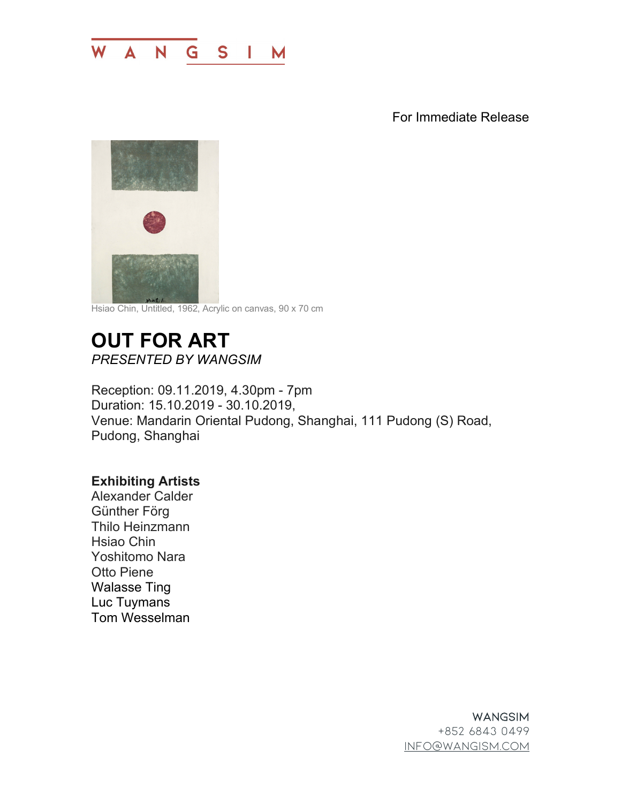

For Immediate Release



Hsiao Chin, Untitled, 1962, Acrylic on canvas, 90 x 70 cm

## **OUT FOR ART** *PRESENTED BY WANGSIM*

Reception: 09.11.2019, 4.30pm - 7pm Duration: 15.10.2019 - 30.10.2019, Venue: Mandarin Oriental Pudong, Shanghai, 111 Pudong (S) Road, Pudong, Shanghai

## **Exhibiting Artists**

Alexander Calder Günther Förg Thilo Heinzmann Hsiao Chin Yoshitomo Nara Otto Piene Walasse Ting Luc Tuymans Tom Wesselman

> **WANGSIM** +852 6843 0499 info@wangism.com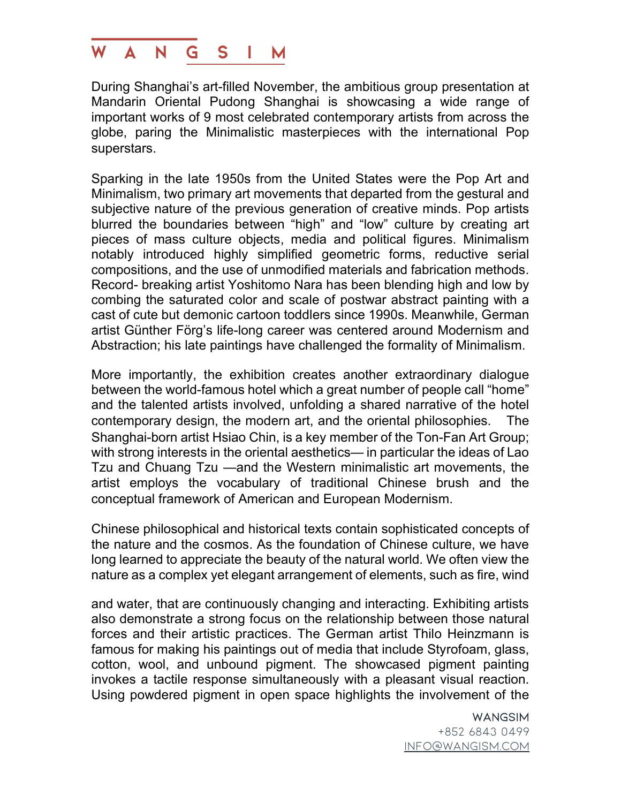## **W**  $\blacktriangle$  $N$ G  $\mathbf{S}$ M

During Shanghai's art-filled November, the ambitious group presentation at Mandarin Oriental Pudong Shanghai is showcasing a wide range of important works of 9 most celebrated contemporary artists from across the globe, paring the Minimalistic masterpieces with the international Pop superstars.

Sparking in the late 1950s from the United States were the Pop Art and Minimalism, two primary art movements that departed from the gestural and subjective nature of the previous generation of creative minds. Pop artists blurred the boundaries between "high" and "low" culture by creating art pieces of mass culture objects, media and political figures. Minimalism notably introduced highly simplified geometric forms, reductive serial compositions, and the use of unmodified materials and fabrication methods. Record- breaking artist Yoshitomo Nara has been blending high and low by combing the saturated color and scale of postwar abstract painting with a cast of cute but demonic cartoon toddlers since 1990s. Meanwhile, German artist Günther Förg's life-long career was centered around Modernism and Abstraction; his late paintings have challenged the formality of Minimalism.

More importantly, the exhibition creates another extraordinary dialogue between the world-famous hotel which a great number of people call "home" and the talented artists involved, unfolding a shared narrative of the hotel contemporary design, the modern art, and the oriental philosophies. The Shanghai-born artist Hsiao Chin, is a key member of the Ton-Fan Art Group; with strong interests in the oriental aesthetics— in particular the ideas of Lao Tzu and Chuang Tzu —and the Western minimalistic art movements, the artist employs the vocabulary of traditional Chinese brush and the conceptual framework of American and European Modernism.

Chinese philosophical and historical texts contain sophisticated concepts of the nature and the cosmos. As the foundation of Chinese culture, we have long learned to appreciate the beauty of the natural world. We often view the nature as a complex yet elegant arrangement of elements, such as fire, wind

and water, that are continuously changing and interacting. Exhibiting artists also demonstrate a strong focus on the relationship between those natural forces and their artistic practices. The German artist Thilo Heinzmann is famous for making his paintings out of media that include Styrofoam, glass, cotton, wool, and unbound pigment. The showcased pigment painting invokes a tactile response simultaneously with a pleasant visual reaction. Using powdered pigment in open space highlights the involvement of the